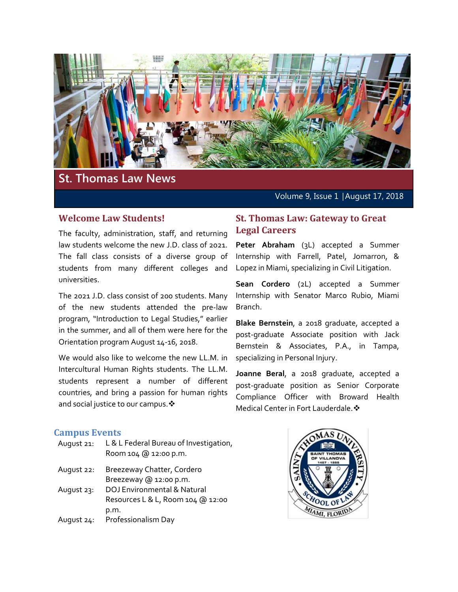

# **St. Thomas Law News**

Volume 9, Issue 1 │August 17, 2018

#### **Welcome Law Students!**

The faculty, administration, staff, and returning law students welcome the new J.D. class of 2021. The fall class consists of a diverse group of students from many different colleges and universities.

The 2021 J.D. class consist of 200 students. Many of the new students attended the pre-law program, "Introduction to Legal Studies," earlier in the summer, and all of them were here for the Orientation program August 14-16, 2018.

We would also like to welcome the new LL.M. in Intercultural Human Rights students. The LL.M. students represent a number of different countries, and bring a passion for human rights and social justice to our campus.  $\cdot$ 

#### **St. Thomas Law: Gateway to Great Legal Careers**

**Peter Abraham** (3L) accepted a Summer Internship with Farrell, Patel, Jomarron, & Lopez in Miami, specializing in Civil Litigation.

**Sean Cordero** (2L) accepted a Summer Internship with Senator Marco Rubio, Miami Branch.

**Blake Bernstein**, a 2018 graduate, accepted a post-graduate Associate position with Jack Bernstein & Associates, P.A., in Tampa, specializing in Personal Injury.

**Joanne Beral**, a 2018 graduate, accepted a post-graduate position as Senior Corporate Compliance Officer with Broward Health Medical Center in Fort Lauderdale. �

#### **Campus Events**

- August 21: L & L Federal Bureau of Investigation, Room 104 @ 12:00 p.m.
- August 22: Breezeway Chatter, Cordero Breezeway @ 12:00 p.m.
- August 23: DOJ Environmental & Natural Resources L & L, Room 104 @ 12:00 p.m.
- August 24: Professionalism Day

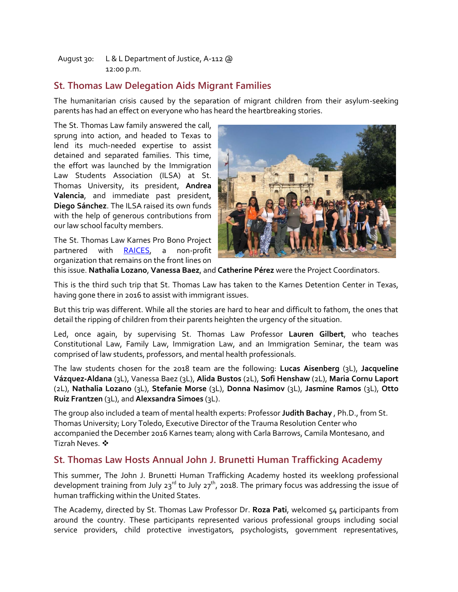August 30: L & L Department of Justice, A-112 @ 12:00 p.m.

## **St. Thomas Law Delegation Aids Migrant Families**

The humanitarian crisis caused by the separation of migrant children from their asylum-seeking parents has had an effect on everyone who has heard the heartbreaking stories.

The St. Thomas Law family answered the call, sprung into action, and headed to Texas to lend its much-needed expertise to assist detained and separated families. This time, the effort was launched by the Immigration Law Students Association (ILSA) at St. Thomas University, its president, **Andrea Valencia**, and immediate past president, **Diego Sánchez**. The ILSA raised its own funds with the help of generous contributions from our law school faculty members.

The St. Thomas Law Karnes Pro Bono Project partnered with [RAICES,](https://www.raicestexas.org/) a non-profit organization that remains on the front lines on



this issue. **Nathalia Lozano**, **Vanessa Baez**, and **Catherine Pérez** were the Project Coordinators.

This is the third such trip that St. Thomas Law has taken to the Karnes Detention Center in Texas, having gone there in 2016 to assist with immigrant issues.

But this trip was different. While all the stories are hard to hear and difficult to fathom, the ones that detail the ripping of children from their parents heighten the urgency of the situation.

Led, once again, by supervising St. Thomas Law Professor **Lauren Gilbert**, who teaches Constitutional Law, Family Law, Immigration Law, and an Immigration Seminar, the team was comprised of law students, professors, and mental health professionals.

The law students chosen for the 2018 team are the following: **Lucas Aisenberg** (3L), **Jacqueline Vázquez-Aldana** (3L), Vanessa Baez (3L), **Alida Bustos** (2L), **Sofi Henshaw** (2L), **Maria Cornu Laport** (2L), **Nathalia Lozano** (3L), **Stefanie Morse** (3L), **Donna Nasimov** (3L), **Jasmine Ramos** (3L), **Otto Ruiz Frantzen** (3L), and **Alexsandra Simoes** (3L).

The group also included a team of mental health experts: Professor **Judith Bachay** , Ph.D., from St. Thomas University; Lory Toledo, Executive Director of the Trauma Resolution Center who accompanied the December 2016 Karnes team; along with Carla Barrows, Camila Montesano, and Tizrah Neves.

### **St. Thomas Law Hosts Annual John J. Brunetti Human Trafficking Academy**

This summer, The John J. Brunetti Human Trafficking Academy hosted its weeklong professional development training from July 23<sup>rd</sup> to July 27<sup>th</sup>, 2018. The primary focus was addressing the issue of human trafficking within the United States.

The Academy, directed by St. Thomas Law Professor Dr. **Roza Pati**, welcomed 54 participants from around the country. These participants represented various professional groups including social service providers, child protective investigators, psychologists, government representatives,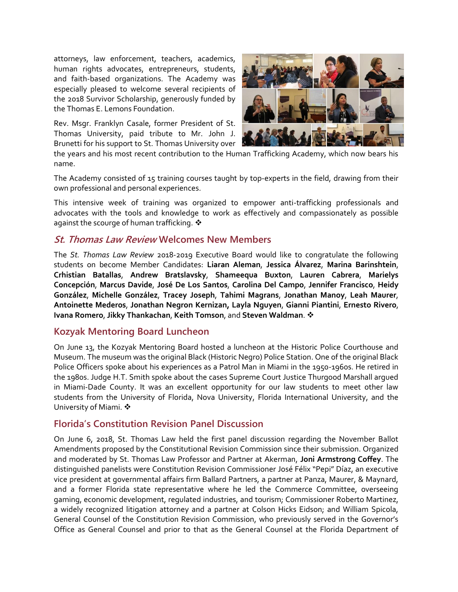attorneys, law enforcement, teachers, academics, human rights advocates, entrepreneurs, students, and faith-based organizations. The Academy was especially pleased to welcome several recipients of the 2018 Survivor Scholarship, generously funded by the Thomas E. Lemons Foundation.

Rev. Msgr. Franklyn Casale, former President of St. Thomas University, paid tribute to Mr. John J. Brunetti for his support to St. Thomas University over



the years and his most recent contribution to the Human Trafficking Academy, which now bears his name.

The Academy consisted of 15 training courses taught by top-experts in the field, drawing from their own professional and personal experiences.

This intensive week of training was organized to empower anti-trafficking professionals and advocates with the tools and knowledge to work as effectively and compassionately as possible against the scourge of human trafficking.  $\clubsuit$ 

### **St. Thomas Law Review Welcomes New Members**

The *St. Thomas Law Review* 2018-2019 Executive Board would like to congratulate the following students on become Member Candidates: **Liaran Aleman**, **Jessica Álvarez**, **Marina Barinshtein**, **Crhistian Batallas**, **Andrew Bratslavsky**, **Shameequa Buxton**, **Lauren Cabrera**, **Marielys Concepción**, **Marcus Davide**, **José De Los Santos**, **Carolina Del Campo**, **Jennifer Francisco**, **Heidy González**, **Michelle González**, **Tracey Joseph**, **Tahimi Magrans**, **Jonathan Manoy**, **Leah Maurer**, **Antoinette Mederos**, **Jonathan Negron Kernizan, Layla Nguyen**, **Gianni Piantini**, **Ernesto Rivero**, **Ivana Romero**, **Jikky Thankachan**, **Keith Tomson**, and **Steven Waldman**.

#### **Kozyak Mentoring Board Luncheon**

On June 13, the Kozyak Mentoring Board hosted a luncheon at the Historic Police Courthouse and Museum. The museum was the original Black (Historic Negro) Police Station. One of the original Black Police Officers spoke about his experiences as a Patrol Man in Miami in the 1950-1960s. He retired in the 1980s. Judge H.T. Smith spoke about the cases Supreme Court Justice Thurgood Marshall argued in Miami-Dade County. It was an excellent opportunity for our law students to meet other law students from the University of Florida, Nova University, Florida International University, and the University of Miami. ❖

#### **Florida's Constitution Revision Panel Discussion**

On June 6, 2018, St. Thomas Law held the first panel discussion regarding the November Ballot Amendments proposed by the Constitutional Revision Commission since their submission. Organized and moderated by St. Thomas Law Professor and Partner at Akerman, **Joni Armstrong Coffey**. The distinguished panelists were Constitution Revision Commissioner José Félix "Pepi" Díaz, an executive vice president at governmental affairs firm Ballard Partners, a partner at Panza, Maurer, & Maynard, and a former Florida state representative where he led the Commerce Committee, overseeing gaming, economic development, regulated industries, and tourism; Commissioner Roberto Martinez, a widely recognized litigation attorney and a partner at Colson Hicks Eidson; and William Spicola, General Counsel of the Constitution Revision Commission, who previously served in the Governor's Office as General Counsel and prior to that as the General Counsel at the Florida Department of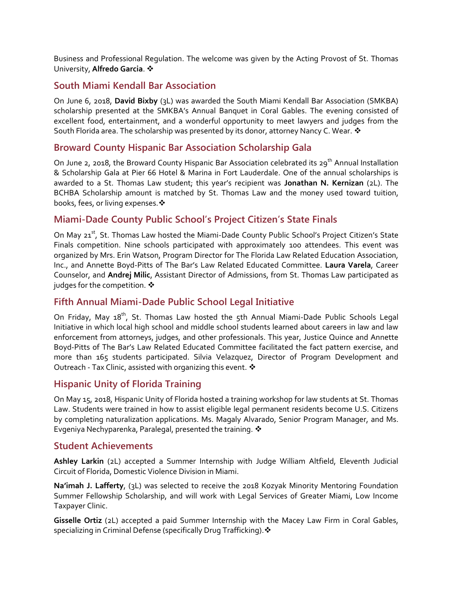Business and Professional Regulation. The welcome was given by the Acting Provost of St. Thomas University, **Alfredo Garcia**.

### **South Miami Kendall Bar Association**

On June 6, 2018, **David Bixby** (3L) was awarded the South Miami Kendall Bar Association (SMKBA) scholarship presented at the SMKBA's Annual Banquet in Coral Gables. The evening consisted of excellent food, entertainment, and a wonderful opportunity to meet lawyers and judges from the South Florida area. The scholarship was presented by its donor, attorney Nancy C. Wear.  $\mathbf{\hat{*}}$ 

### **Broward County Hispanic Bar Association Scholarship Gala**

On June 2, 2018, the Broward County Hispanic Bar Association celebrated its 29<sup>th</sup> Annual Installation & Scholarship Gala at Pier 66 Hotel & Marina in Fort Lauderdale. One of the annual scholarships is awarded to a St. Thomas Law student; this year's recipient was **Jonathan N. Kernizan** (2L). The BCHBA Scholarship amount is matched by St. Thomas Law and the money used toward tuition, books, fees, or living expenses.

### **Miami-Dade County Public School's Project Citizen's State Finals**

On May 21<sup>st</sup>, St. Thomas Law hosted the Miami-Dade County Public School's Project Citizen's State Finals competition. Nine schools participated with approximately 100 attendees. This event was organized by Mrs. Erin Watson, Program Director for The Florida Law Related Education Association, Inc., and Annette Boyd-Pitts of The Bar's Law Related Educated Committee. **Laura Varela**, Career Counselor, and **Andrej Milic**, Assistant Director of Admissions, from St. Thomas Law participated as judges for the competition.  $\mathbf{\hat{*}}$ 

### **Fifth Annual Miami-Dade Public School Legal Initiative**

On Friday, May 18<sup>th</sup>, St. Thomas Law hosted the 5th Annual Miami-Dade Public Schools Legal Initiative in which local high school and middle school students learned about careers in law and law enforcement from attorneys, judges, and other professionals. This year, Justice Quince and Annette Boyd-Pitts of The Bar's Law Related Educated Committee facilitated the fact pattern exercise, and more than 165 students participated. Silvia Velazquez, Director of Program Development and Outreach - Tax Clinic, assisted with organizing this event.

### **Hispanic Unity of Florida Training**

On May 15, 2018, Hispanic Unity of Florida hosted a training workshop for law students at St. Thomas Law. Students were trained in how to assist eligible legal permanent residents become U.S. Citizens by completing naturalization applications. Ms. Magaly Alvarado, Senior Program Manager, and Ms. Evgeniya Nechyparenka, Paralegal, presented the training.

#### **Student Achievements**

**Ashley Larkin** (2L) accepted a Summer Internship with Judge William Altfield, Eleventh Judicial Circuit of Florida, Domestic Violence Division in Miami.

**Na'imah J. Lafferty**, (3L) was selected to receive the 2018 Kozyak Minority Mentoring Foundation Summer Fellowship Scholarship, and will work with Legal Services of Greater Miami, Low Income Taxpayer Clinic.

**Gisselle Ortiz** (2L) accepted a paid Summer Internship with the Macey Law Firm in Coral Gables, specializing in Criminal Defense (specifically Drug Trafficking).  $\cdot$